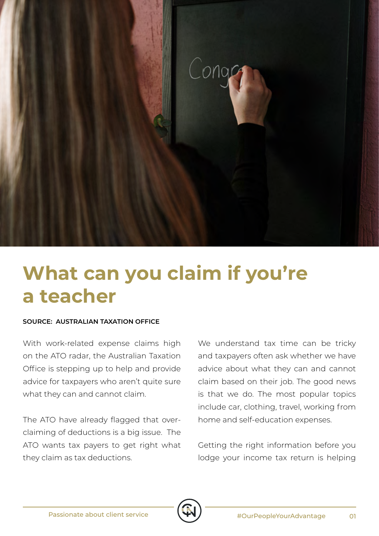

## **What can you claim if you're a teacher**

## **SOURCE: AUSTRALIAN TAXATION OFFICE**

With work-related expense claims high on the ATO radar, the Australian Taxation Office is stepping up to help and provide advice for taxpayers who aren't quite sure what they can and cannot claim.

The ATO have already flagged that overclaiming of deductions is a big issue. The ATO wants tax payers to get right what they claim as tax deductions.

We understand tax time can be tricky and taxpayers often ask whether we have advice about what they can and cannot claim based on their job. The good news is that we do. The most popular topics include car, clothing, travel, working from home and self-education expenses.

Getting the right information before you lodge your income tax return is helping